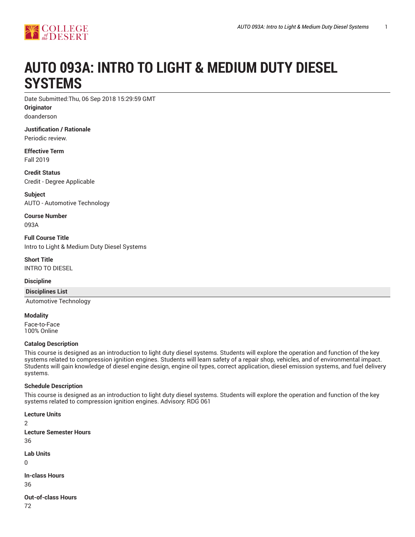

# **AUTO 093A: INTRO TO LIGHT & MEDIUM DUTY DIESEL SYSTEMS**

Date Submitted:Thu, 06 Sep 2018 15:29:59 GMT

**Originator** doanderson

**Justification / Rationale** Periodic review.

**Effective Term** Fall 2019

**Credit Status** Credit - Degree Applicable

**Subject** AUTO - Automotive Technology

**Course Number** 093A

**Full Course Title** Intro to Light & Medium Duty Diesel Systems

**Short Title** INTRO TO DIESEL

### **Discipline**

#### **Disciplines List**

Automotive Technology

**Modality** Face-to-Face 100% Online

### **Catalog Description**

This course is designed as an introduction to light duty diesel systems. Students will explore the operation and function of the key systems related to compression ignition engines. Students will learn safety of a repair shop, vehicles, and of environmental impact. Students will gain knowledge of diesel engine design, engine oil types, correct application, diesel emission systems, and fuel delivery systems.

### **Schedule Description**

This course is designed as an introduction to light duty diesel systems. Students will explore the operation and function of the key systems related to compression ignition engines. Advisory: RDG 061

**Lecture Units** 2 **Lecture Semester Hours** 36 **Lab Units**  $\Omega$ **In-class Hours** 36

**Out-of-class Hours**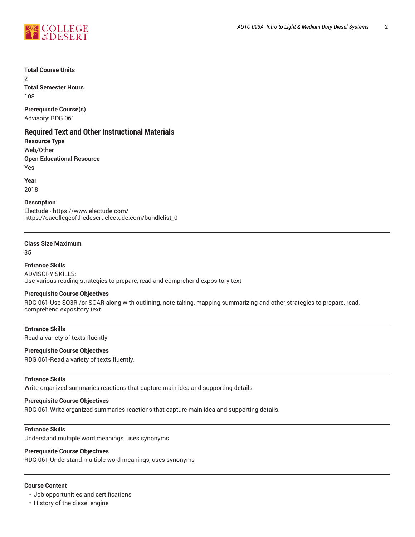



## **Total Course Units**

2 **Total Semester Hours** 108

# **Prerequisite Course(s)**

Advisory: RDG 061

## **Required Text and Other Instructional Materials**

**Resource Type**

Web/Other

## **Open Educational Resource**

Yes

**Year**

2018

### **Description**

Electude - https://www.electude.com/ https://cacollegeofthedesert.electude.com/bundlelist\_0

#### **Class Size Maximum**

35

#### **Entrance Skills**

ADVISORY SKILLS: Use various reading strategies to prepare, read and comprehend expository text

### **Prerequisite Course Objectives**

RDG 061-Use SQ3R /or SOAR along with outlining, note-taking, mapping summarizing and other strategies to prepare, read, comprehend expository text.

### **Entrance Skills**

Read a variety of texts fluently

### **Prerequisite Course Objectives**

RDG 061-Read a variety of texts fluently.

### **Entrance Skills**

Write organized summaries reactions that capture main idea and supporting details

#### **Prerequisite Course Objectives**

RDG 061-Write organized summaries reactions that capture main idea and supporting details.

#### **Entrance Skills**

Understand multiple word meanings, uses synonyms

#### **Prerequisite Course Objectives**

RDG 061-Understand multiple word meanings, uses synonyms

#### **Course Content**

- Job opportunities and certifications
- History of the diesel engine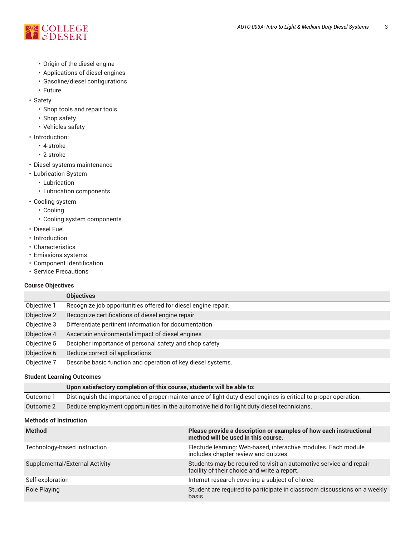

- Origin of the diesel engine
- Applications of diesel engines
- Gasoline/diesel configurations
- Future
- Safety
	- Shop tools and repair tools
	- Shop safety
	- Vehicles safety
- Introduction:
	- 4-stroke
	- 2-stroke
- Diesel systems maintenance
- Lubrication System
	- Lubrication
	- Lubrication components
- Cooling system
	- Cooling
	- Cooling system components
- Diesel Fuel
- Introduction
- Characteristics
- Emissions systems
- Component Identification
- Service Precautions

## **Course Objectives**

|             | <b>Objectives</b>                                             |
|-------------|---------------------------------------------------------------|
| Objective 1 | Recognize job opportunities offered for diesel engine repair. |
| Objective 2 | Recognize certifications of diesel engine repair              |
| Objective 3 | Differentiate pertinent information for documentation         |
| Objective 4 | Ascertain environmental impact of diesel engines              |
| Objective 5 | Decipher importance of personal safety and shop safety        |
| Objective 6 | Deduce correct oil applications                               |
| Objective 7 | Describe basic function and operation of key diesel systems.  |

## **Student Learning Outcomes**

|           | Upon satisfactory completion of this course, students will be able to:                                         |
|-----------|----------------------------------------------------------------------------------------------------------------|
| Outcome 1 | Distinguish the importance of proper maintenance of light duty diesel engines is critical to proper operation. |
| Outcome 2 | Deduce employment opportunities in the automotive field for light duty diesel technicians.                     |

### **Methods of Instruction**

| <b>Method</b>                  | Please provide a description or examples of how each instructional<br>method will be used in this course.          |
|--------------------------------|--------------------------------------------------------------------------------------------------------------------|
| Technology-based instruction   | Electude learning: Web-based, interactive modules. Each module<br>includes chapter review and quizzes.             |
| Supplemental/External Activity | Students may be required to visit an automotive service and repair<br>facility of their choice and write a report. |
| Self-exploration               | Internet research covering a subject of choice.                                                                    |
| <b>Role Playing</b>            | Student are required to participate in classroom discussions on a weekly<br>basis.                                 |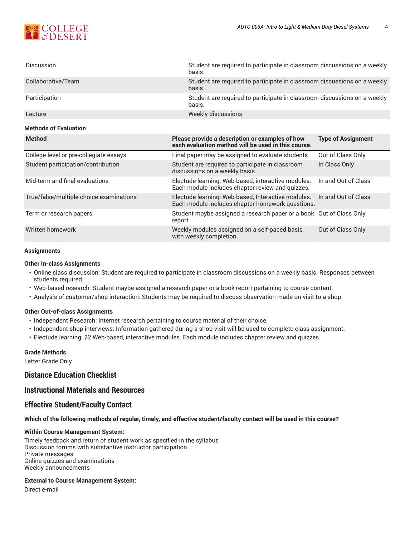

| <b>Discussion</b>            | Student are required to participate in classroom discussions on a weekly<br>basis. |  |
|------------------------------|------------------------------------------------------------------------------------|--|
| Collaborative/Team           | Student are required to participate in classroom discussions on a weekly<br>basis. |  |
| Participation                | Student are required to participate in classroom discussions on a weekly<br>basis. |  |
| Lecture                      | Weekly discussions                                                                 |  |
| <b>Methods of Evaluation</b> |                                                                                    |  |
| <b>Method</b>                | Please provide a description or examples of how<br><b>Type of Assignment</b>       |  |

|                                         | each evaluation method will be used in this course.                                                    |                     |
|-----------------------------------------|--------------------------------------------------------------------------------------------------------|---------------------|
| College level or pre-collegiate essays  | Final paper may be assigned to evaluate students                                                       | Out of Class Only   |
| Student participation/contribution      | Student are required to participate in classroom<br>discussions on a weekly basis.                     | In Class Only       |
| Mid-term and final evaluations          | Electude learning: Web-based, interactive modules.<br>Each module includes chapter review and quizzes. | In and Out of Class |
| True/false/multiple choice examinations | Electude learning: Web-based, Interactive modules.<br>Each module includes chapter homework questions. | In and Out of Class |
| Term or research papers                 | Student maybe assigned a research paper or a book Out of Class Only<br>report                          |                     |
| Written homework                        | Weekly modules assigned on a self-paced basis,<br>with weekly completion.                              | Out of Class Only   |

#### **Assignments**

#### **Other In-class Assignments**

- Online class discussion: Student are required to participate in classroom discussions on a weekly basis. Responses between students required.
- Web-based research: Student maybe assigned a research paper or a book report pertaining to course content.
- Analysis of customer/shop interaction: Students may be required to discuss observation made on visit to a shop.

#### **Other Out-of-class Assignments**

- Independent Research: Internet research pertaining to course material of their choice.
- Independent shop interviews: Information gathered during a shop visit will be used to complete class assignment.
- Electude learning: 22 Web-based, interactive modules. Each module includes chapter review and quizzes.

#### **Grade Methods**

Letter Grade Only

## **Distance Education Checklist**

## **Instructional Materials and Resources**

### **Effective Student/Faculty Contact**

#### Which of the following methods of regular, timely, and effective student/faculty contact will be used in this course?

#### **Within Course Management System:**

Timely feedback and return of student work as specified in the syllabus Discussion forums with substantive instructor participation Private messages Online quizzes and examinations Weekly announcements

#### **External to Course Management System:**

Direct e-mail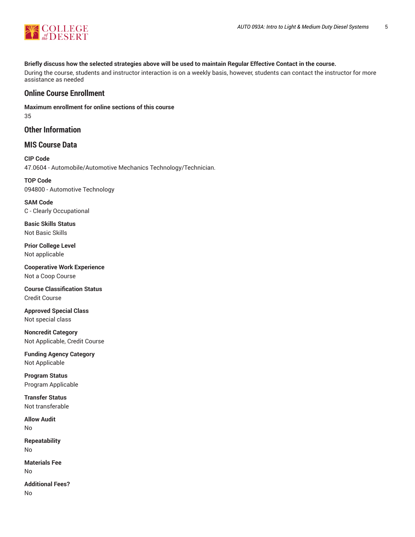

### Briefly discuss how the selected strategies above will be used to maintain Regular Effective Contact in the course.

During the course, students and instructor interaction is on a weekly basis, however, students can contact the instructor for more assistance as needed

## **Online Course Enrollment**

**Maximum enrollment for online sections of this course** 35

## **Other Information**

## **MIS Course Data**

**CIP Code** 47.0604 - Automobile/Automotive Mechanics Technology/Technician.

**TOP Code** 094800 - Automotive Technology

**SAM Code** C - Clearly Occupational

**Basic Skills Status** Not Basic Skills

**Prior College Level** Not applicable

**Cooperative Work Experience** Not a Coop Course

**Course Classification Status** Credit Course

**Approved Special Class** Not special class

**Noncredit Category** Not Applicable, Credit Course

**Funding Agency Category** Not Applicable

**Program Status** Program Applicable

**Transfer Status** Not transferable

**Allow Audit** No

**Repeatability** No

**Materials Fee** No

**Additional Fees?** No